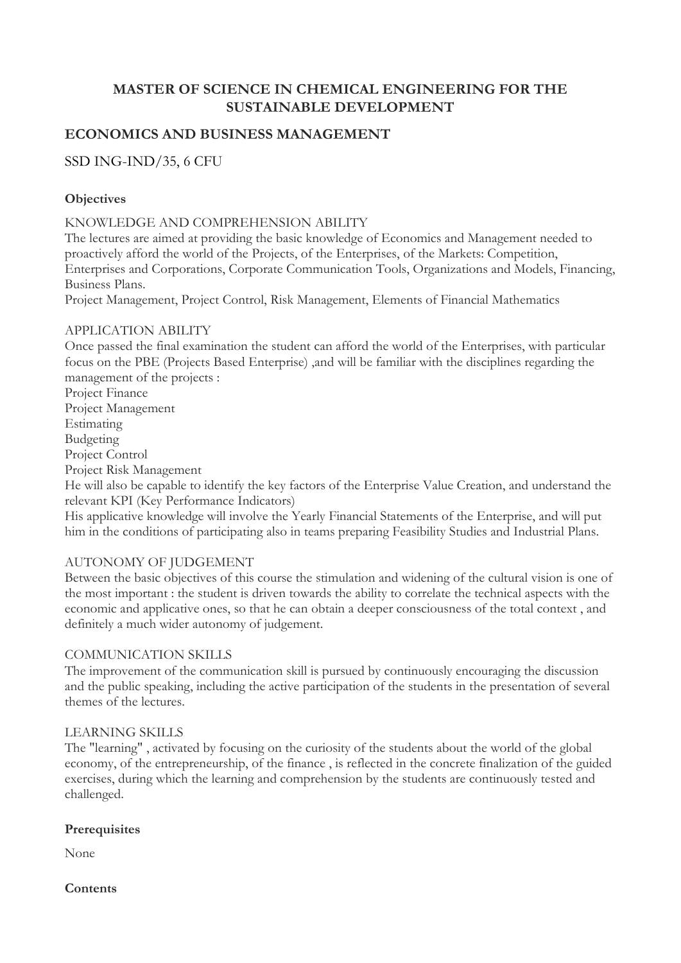# **MASTER OF SCIENCE IN CHEMICAL ENGINEERING FOR THE SUSTAINABLE DEVELOPMENT**

## **ECONOMICS AND BUSINESS MANAGEMENT**

## SSD ING-IND/35, 6 CFU

### **Objectives**

KNOWLEDGE AND COMPREHENSION ABILITY

The lectures are aimed at providing the basic knowledge of Economics and Management needed to proactively afford the world of the Projects, of the Enterprises, of the Markets: Competition, Enterprises and Corporations, Corporate Communication Tools, Organizations and Models, Financing, Business Plans.

Project Management, Project Control, Risk Management, Elements of Financial Mathematics

#### APPLICATION ABILITY

Once passed the final examination the student can afford the world of the Enterprises, with particular focus on the PBE (Projects Based Enterprise) ,and will be familiar with the disciplines regarding the management of the projects :

Project Finance Project Management Estimating Budgeting Project Control Project Risk Management

He will also be capable to identify the key factors of the Enterprise Value Creation, and understand the relevant KPI (Key Performance Indicators)

His applicative knowledge will involve the Yearly Financial Statements of the Enterprise, and will put him in the conditions of participating also in teams preparing Feasibility Studies and Industrial Plans.

#### AUTONOMY OF JUDGEMENT

Between the basic objectives of this course the stimulation and widening of the cultural vision is one of the most important : the student is driven towards the ability to correlate the technical aspects with the economic and applicative ones, so that he can obtain a deeper consciousness of the total context , and definitely a much wider autonomy of judgement.

#### COMMUNICATION SKILLS

The improvement of the communication skill is pursued by continuously encouraging the discussion and the public speaking, including the active participation of the students in the presentation of several themes of the lectures.

#### LEARNING SKILLS

The "learning" , activated by focusing on the curiosity of the students about the world of the global economy, of the entrepreneurship, of the finance , is reflected in the concrete finalization of the guided exercises, during which the learning and comprehension by the students are continuously tested and challenged.

#### **Prerequisites**

None

**Contents**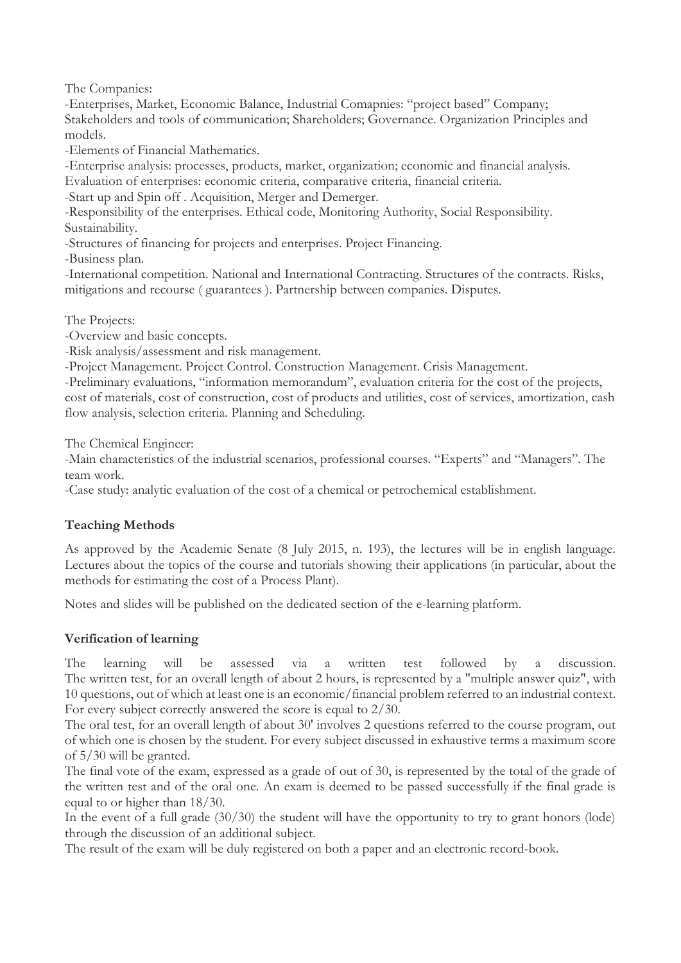The Companies:

-Enterprises, Market, Economic Balance, Industrial Comapnies: "project based" Company; Stakeholders and tools of communication; Shareholders; Governance. Organization Principles and models.

-Elements of Financial Mathematics.

-Enterprise analysis: processes, products, market, organization; economic and financial analysis. Evaluation of enterprises: economic criteria, comparative criteria, financial criteria.

-Start up and Spin off . Acquisition, Merger and Demerger.

-Responsibility of the enterprises. Ethical code, Monitoring Authority, Social Responsibility. Sustainability.

-Structures of financing for projects and enterprises. Project Financing.

-Business plan.

-International competition. National and International Contracting. Structures of the contracts. Risks, mitigations and recourse ( guarantees ). Partnership between companies. Disputes.

The Projects:

-Overview and basic concepts.

-Risk analysis/assessment and risk management.

-Project Management. Project Control. Construction Management. Crisis Management.

-Preliminary evaluations, "information memorandum", evaluation criteria for the cost of the projects, cost of materials, cost of construction, cost of products and utilities, cost of services, amortization, cash flow analysis, selection criteria. Planning and Scheduling.

The Chemical Engineer:

-Main characteristics of the industrial scenarios, professional courses. "Experts" and "Managers". The team work.

-Case study: analytic evaluation of the cost of a chemical or petrochemical establishment.

## **Teaching Methods**

As approved by the Academic Senate (8 July 2015, n. 193), the lectures will be in english language. Lectures about the topics of the course and tutorials showing their applications (in particular, about the methods for estimating the cost of a Process Plant).

Notes and slides will be published on the dedicated section of the e-learning platform.

## **Verification of learning**

The learning will be assessed via a written test followed by a discussion. The written test, for an overall length of about 2 hours, is represented by a "multiple answer quiz", with 10 questions, out of which at least one is an economic/financial problem referred to an industrial context. For every subject correctly answered the score is equal to 2/30.

The oral test, for an overall length of about 30' involves 2 questions referred to the course program, out of which one is chosen by the student. For every subject discussed in exhaustive terms a maximum score of 5/30 will be granted.

The final vote of the exam, expressed as a grade of out of 30, is represented by the total of the grade of the written test and of the oral one. An exam is deemed to be passed successfully if the final grade is equal to or higher than 18/30.

In the event of a full grade (30/30) the student will have the opportunity to try to grant honors (lode) through the discussion of an additional subject.

The result of the exam will be duly registered on both a paper and an electronic record-book.